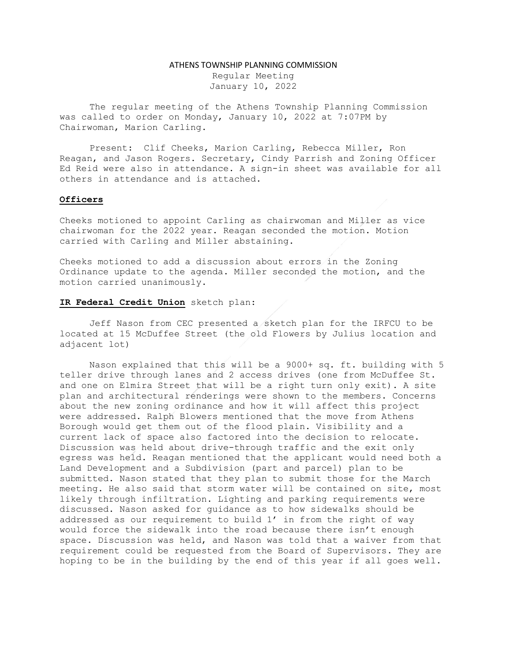#### ATHENS TOWNSHIP PLANNING COMMISSION

Regular Meeting January 10, 2022

The regular meeting of the Athens Township Planning Commission was called to order on Monday, January 10, 2022 at 7:07PM by Chairwoman, Marion Carling.

Present: Clif Cheeks, Marion Carling, Rebecca Miller, Ron Reagan, and Jason Rogers. Secretary, Cindy Parrish and Zoning Officer Ed Reid were also in attendance. A sign-in sheet was available for all others in attendance and is attached.

## Officers

Cheeks motioned to appoint Carling as chairwoman and Miller as vice chairwoman for the 2022 year. Reagan seconded the motion. Motion carried with Carling and Miller abstaining.

Cheeks motioned to add a discussion about errors in the Zoning Ordinance update to the agenda. Miller seconded the motion, and the motion carried unanimously.

# IR Federal Credit Union sketch plan:

Jeff Nason from CEC presented a sketch plan for the IRFCU to be located at 15 McDuffee Street (the old Flowers by Julius location and adjacent lot)

Nason explained that this will be a 9000+ sq. ft. building with 5 teller drive through lanes and 2 access drives (one from McDuffee St. and one on Elmira Street that will be a right turn only exit). A site plan and architectural renderings were shown to the members. Concerns about the new zoning ordinance and how it will affect this project were addressed. Ralph Blowers mentioned that the move from Athens Borough would get them out of the flood plain. Visibility and a current lack of space also factored into the decision to relocate. Discussion was held about drive-through traffic and the exit only egress was held. Reagan mentioned that the applicant would need both a Land Development and a Subdivision (part and parcel) plan to be submitted. Nason stated that they plan to submit those for the March meeting. He also said that storm water will be contained on site, most likely through infiltration. Lighting and parking requirements were discussed. Nason asked for guidance as to how sidewalks should be addressed as our requirement to build 1' in from the right of way would force the sidewalk into the road because there isn't enough space. Discussion was held, and Nason was told that a waiver from that requirement could be requested from the Board of Supervisors. They are hoping to be in the building by the end of this year if all goes well.